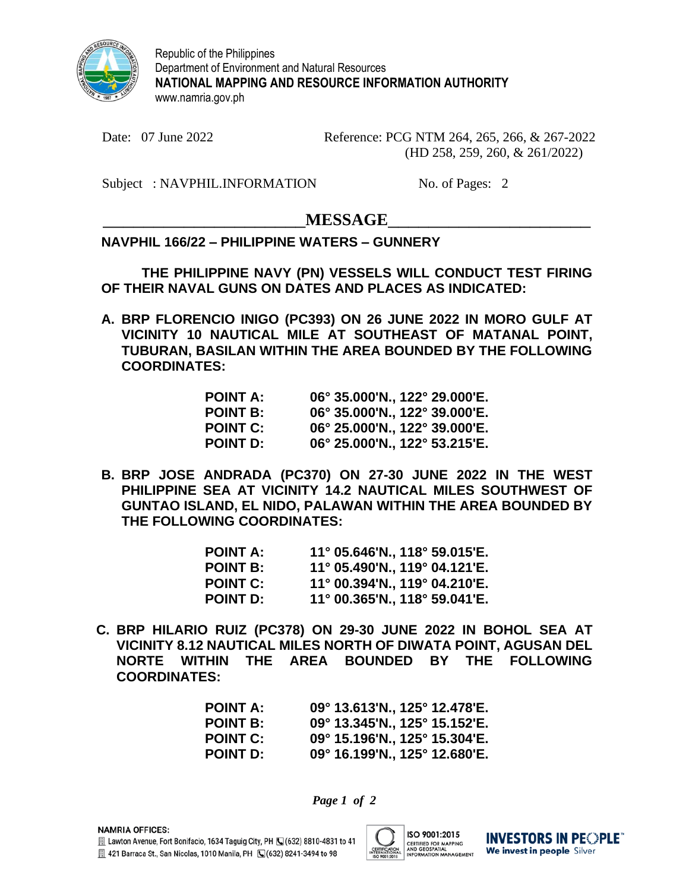

Republic of the Philippines Department of Environment and Natural Resources **NATIONAL MAPPING AND RESOURCE INFORMATION AUTHORITY** www.namria.gov.ph

Date: 07 June 2022 Reference: PCG NTM 264, 265, 266, & 267-2022 (HD 258, 259, 260, & 261/2022)

Subject : NAVPHIL.INFORMATION No. of Pages: 2

## $MESSAGE$

## **NAVPHIL 166/22 – PHILIPPINE WATERS – GUNNERY**

**THE PHILIPPINE NAVY (PN) VESSELS WILL CONDUCT TEST FIRING OF THEIR NAVAL GUNS ON DATES AND PLACES AS INDICATED:**

**A. BRP FLORENCIO INIGO (PC393) ON 26 JUNE 2022 IN MORO GULF AT VICINITY 10 NAUTICAL MILE AT SOUTHEAST OF MATANAL POINT, TUBURAN, BASILAN WITHIN THE AREA BOUNDED BY THE FOLLOWING COORDINATES:**

| POINT A:        | 06° 35.000'N., 122° 29.000'E. |
|-----------------|-------------------------------|
| <b>POINT B:</b> | 06° 35.000'N., 122° 39.000'E. |
| <b>POINT C:</b> | 06° 25.000'N., 122° 39.000'E. |
| POINT D:        | 06° 25.000'N., 122° 53.215'E. |

**B. BRP JOSE ANDRADA (PC370) ON 27-30 JUNE 2022 IN THE WEST PHILIPPINE SEA AT VICINITY 14.2 NAUTICAL MILES SOUTHWEST OF GUNTAO ISLAND, EL NIDO, PALAWAN WITHIN THE AREA BOUNDED BY THE FOLLOWING COORDINATES:**

| <b>POINT A:</b> | $11^{\circ}$ 05.646'N., 118 $^{\circ}$ 59.015'E. |
|-----------------|--------------------------------------------------|
| <b>POINT B:</b> | 11° 05.490'N., 119° 04.121'E.                    |
| <b>POINT C:</b> | 11° 00.394'N., 119° 04.210'E.                    |
| <b>POINT D:</b> | $11^{\circ}$ 00.365'N., 118° 59.041'E.           |

**C. BRP HILARIO RUIZ (PC378) ON 29-30 JUNE 2022 IN BOHOL SEA AT VICINITY 8.12 NAUTICAL MILES NORTH OF DIWATA POINT, AGUSAN DEL NORTE WITHIN THE AREA BOUNDED BY THE FOLLOWING COORDINATES:**

| <b>POINT A:</b> | $09^{\circ}$ 13.613'N., 125 $^{\circ}$ 12.478'E. |
|-----------------|--------------------------------------------------|
| <b>POINT B:</b> | 09° 13.345'N., 125° 15.152'E.                    |
| <b>POINT C:</b> | $09^{\circ}$ 15.196'N., 125 $^{\circ}$ 15.304'E. |
| <b>POINT D:</b> | $09^{\circ}$ 16.199'N., 125 $^{\circ}$ 12.680'E. |

*Page 1 of 2*



**INVESTORS IN PEOPLE** We invest in people Silver